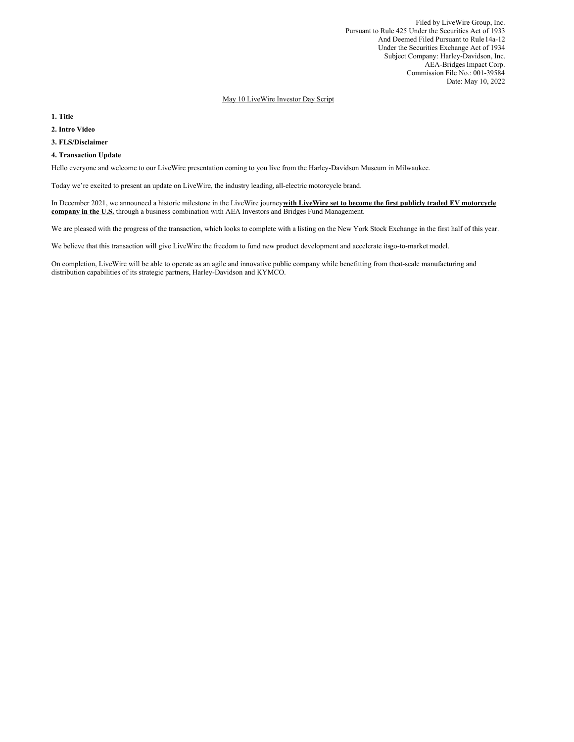Filed by LiveWire Group, Inc. Pursuant to Rule 425 Under the Securities Act of 1933 And Deemed Filed Pursuant to Rule14a-12 Under the Securities Exchange Act of 1934 Subject Company: Harley-Davidson, Inc. AEA-Bridges Impact Corp. Commission File No.: 001-39584 Date: May 10, 2022

## May 10 LiveWire Investor Day Script

**1. Title**

**2. Intro Video**

**3. FLS/Disclaimer**

#### **4. Transaction Update**

Hello everyone and welcome to our LiveWire presentation coming to you live from the Harley-Davidson Museum in Milwaukee.

Today we're excited to present an update on LiveWire, the industry leading, all-electric motorcycle brand.

In December 2021, we announced a historic milestone in the LiveWire journey**with LiveWire set to become the first publicly traded EV motorcycle company in the U.S.** through a business combination with AEA Investors and Bridges Fund Management.

We are pleased with the progress of the transaction, which looks to complete with a listing on the New York Stock Exchange in the first half of this year.

We believe that this transaction will give LiveWire the freedom to fund new product development and accelerate itsgo-to-market model.

On completion, LiveWire will be able to operate as an agile and innovative public company while benefitting from theat-scale manufacturing and distribution capabilities of its strategic partners, Harley-Davidson and KYMCO.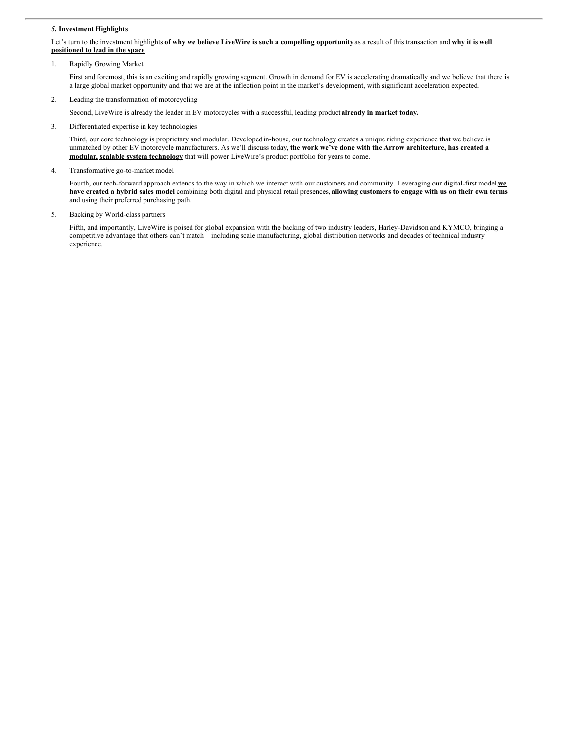### *5.* **Investment Highlights**

## Let's turn to the investment highlights of why we believe LiveWire is such a compelling opportunity as a result of this transaction and why it is well **positioned to lead in the space**

1. Rapidly Growing Market

First and foremost, this is an exciting and rapidly growing segment. Growth in demand for EV is accelerating dramatically and we believe that there is a large global market opportunity and that we are at the inflection point in the market's development, with significant acceleration expected.

2. Leading the transformation of motorcycling

Second, LiveWire is already the leader in EV motorcycles with a successful, leading product **already in market today.**

3. Differentiated expertise in key technologies

Third, our core technology is proprietary and modular. Developedin-house, our technology creates a unique riding experience that we believe is unmatched by other EV motorcycle manufacturers. As we'll discuss today, **the work we've done with the Arrow architecture, has created a modular, scalable system technology** that will power LiveWire's product portfolio for years to come.

4. Transformative go-to-market model

Fourth, our tech-forward approach extends to the way in which we interact with our customers and community. Leveraging our digital-first model,**we** have created a hybrid sales model combining both digital and physical retail presences, allowing customers to engage with us on their own terms and using their preferred purchasing path.

5. Backing by World-class partners

Fifth, and importantly, LiveWire is poised for global expansion with the backing of two industry leaders, Harley-Davidson and KYMCO, bringing a competitive advantage that others can't match – including scale manufacturing, global distribution networks and decades of technical industry experience.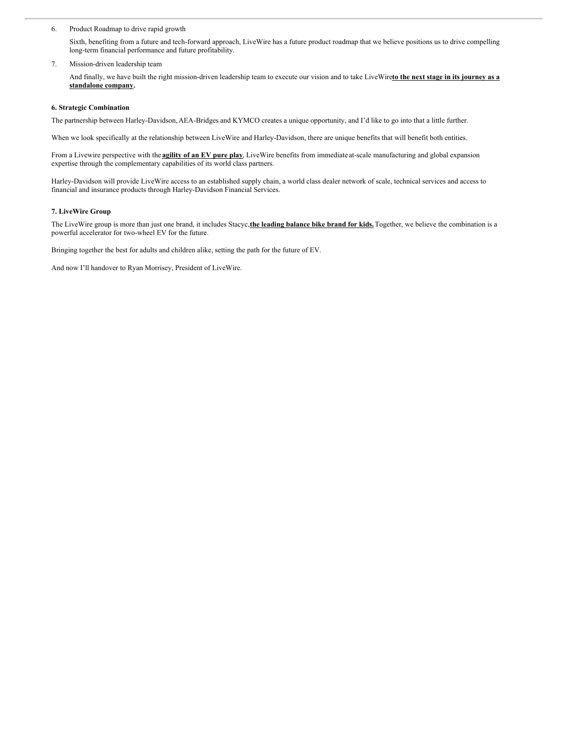6. Product Roadmap to drive rapid growth

Sixth, benefiting from a future and tech-forward approach, LiveWire has a future product roadmap that we believe positions us to drive compelling long-term financial performance and future profitability.

7. Mission-driven leadership team

And finally, we have built the right mission-driven leadership team to execute our vision and to take LiveWire**to the next stage in its journey as a standalone company.**

# **6. Strategic Combination**

The partnership between Harley-Davidson,AEA-Bridges and KYMCO creates a unique opportunity, and I'd like to go into that a little further.

When we look specifically at the relationship between LiveWire and Harley-Davidson, there are unique benefits that will benefit both entities.

From a Livewire perspective with the **agility of an EV pure play**, LiveWire benefits from immediate at-scale manufacturing and global expansion expertise through the complementary capabilities of its world class partners.

Harley-Davidson will provide LiveWire access to an established supply chain, a world class dealer network of scale, technical services and access to financial and insurance products through Harley-Davidson Financial Services.

# **7. LiveWire Group**

The LiveWire group is more than just one brand, it includes Stacyc,**the leading balance bike brand for kids.**Together, we believe the combination is a powerful accelerator for two-wheel EV for the future.

Bringing together the best for adults and children alike, setting the path for the future of EV.

And now I'll handover to Ryan Morrisey, President of LiveWire.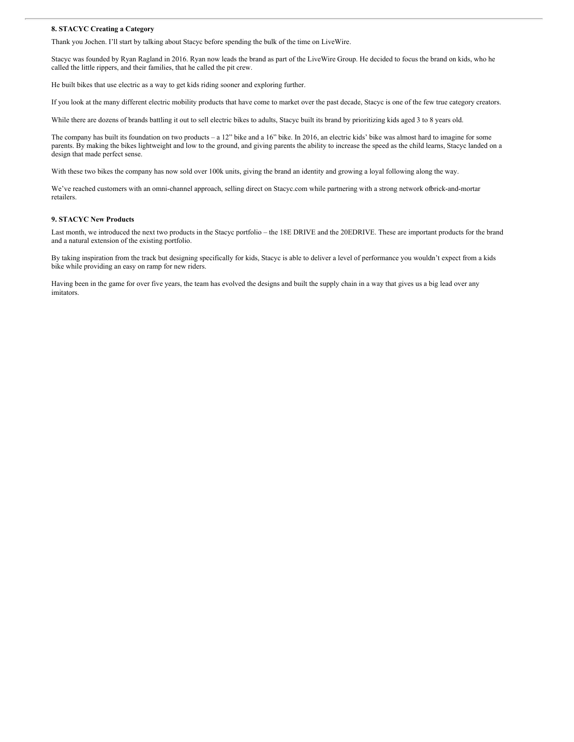#### **8. STACYC Creating a Category**

Thank you Jochen. I'll start by talking about Stacyc before spending the bulk of the time on LiveWire.

Stacyc was founded by Ryan Ragland in 2016. Ryan now leads the brand as part of the LiveWire Group. He decided to focus the brand on kids, who he called the little rippers, and their families, that he called the pit crew.

He built bikes that use electric as a way to get kids riding sooner and exploring further.

If you look at the many different electric mobility products that have come to market over the past decade, Stacyc is one of the few true category creators.

While there are dozens of brands battling it out to sell electric bikes to adults, Stacyc built its brand by prioritizing kids aged 3 to 8 years old.

The company has built its foundation on two products – a 12" bike and a 16" bike. In 2016, an electric kids' bike was almost hard to imagine for some parents. By making the bikes lightweight and low to the ground, and giving parents the ability to increase the speed as the child learns, Stacyc landed on a design that made perfect sense.

With these two bikes the company has now sold over 100k units, giving the brand an identity and growing a loyal following along the way.

We've reached customers with an omni-channel approach, selling direct on Stacyc.com while partnering with a strong network ofbrick-and-mortar retailers.

#### **9. STACYC New Products**

Last month, we introduced the next two products in the Stacyc portfolio – the 18E DRIVE and the 20EDRIVE. These are important products for the brand and a natural extension of the existing portfolio.

By taking inspiration from the track but designing specifically for kids, Stacyc is able to deliver a level of performance you wouldn't expect from a kids bike while providing an easy on ramp for new riders.

Having been in the game for over five years, the team has evolved the designs and built the supply chain in a way that gives us a big lead over any imitators.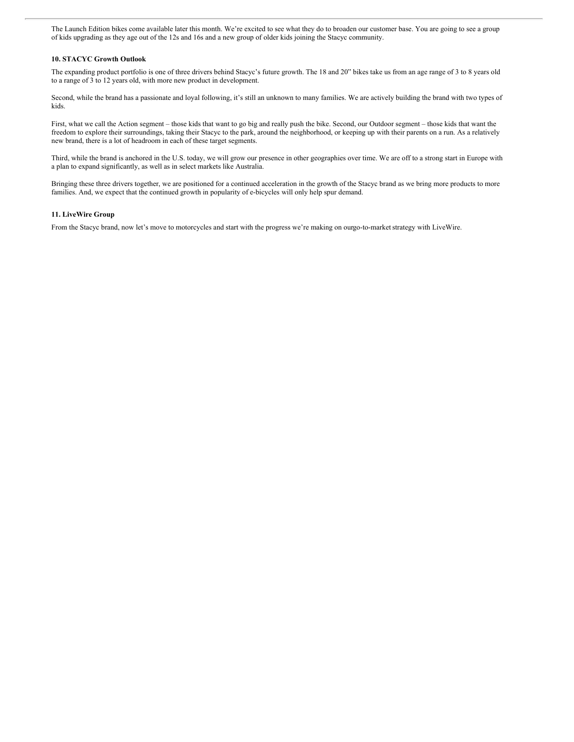The Launch Edition bikes come available later this month. We're excited to see what they do to broaden our customer base. You are going to see a group of kids upgrading as they age out of the 12s and 16s and a new group of older kids joining the Stacyc community.

#### **10. STACYC Growth Outlook**

The expanding product portfolio is one of three drivers behind Stacyc's future growth. The 18 and 20" bikes take us from an age range of 3 to 8 years old to a range of 3 to 12 years old, with more new product in development.

Second, while the brand has a passionate and loyal following, it's still an unknown to many families. We are actively building the brand with two types of kids.

First, what we call the Action segment – those kids that want to go big and really push the bike. Second, our Outdoor segment – those kids that want the freedom to explore their surroundings, taking their Stacyc to the park, around the neighborhood, or keeping up with their parents on a run. As a relatively new brand, there is a lot of headroom in each of these target segments.

Third, while the brand is anchored in the U.S. today, we will grow our presence in other geographies over time. We are off to a strong start in Europe with a plan to expand significantly, as well as in select markets like Australia.

Bringing these three drivers together, we are positioned for a continued acceleration in the growth of the Stacyc brand as we bring more products to more families. And, we expect that the continued growth in popularity of e-bicycles will only help spur demand.

#### **11. LiveWire Group**

From the Stacyc brand, now let's move to motorcycles and start with the progress we're making on ourgo-to-marketstrategy with LiveWire.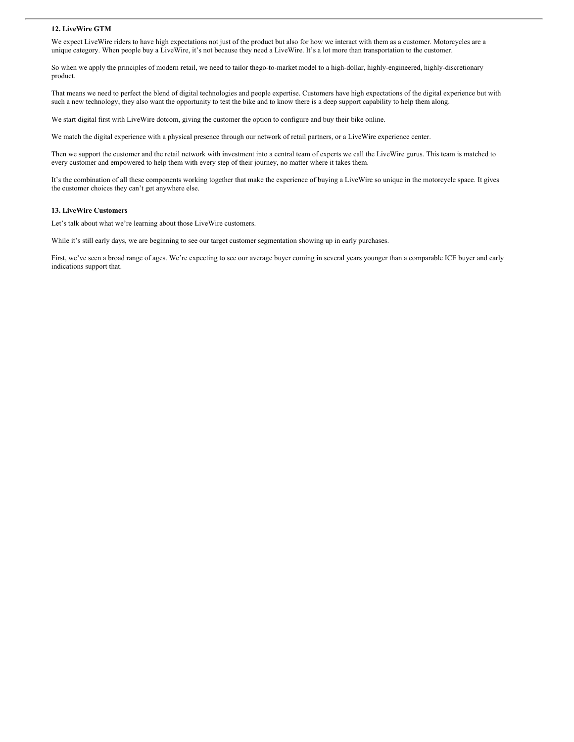### **12. LiveWire GTM**

We expect LiveWire riders to have high expectations not just of the product but also for how we interact with them as a customer. Motorcycles are a unique category. When people buy a LiveWire, it's not because they need a LiveWire. It's a lot more than transportation to the customer.

So when we apply the principles of modern retail, we need to tailor thego-to-market model to a high-dollar, highly-engineered, highly-discretionary product.

That means we need to perfect the blend of digital technologies and people expertise. Customers have high expectations of the digital experience but with such a new technology, they also want the opportunity to test the bike and to know there is a deep support capability to help them along.

We start digital first with LiveWire dotcom, giving the customer the option to configure and buy their bike online.

We match the digital experience with a physical presence through our network of retail partners, or a LiveWire experience center.

Then we support the customer and the retail network with investment into a central team of experts we call the LiveWire gurus. This team is matched to every customer and empowered to help them with every step of their journey, no matter where it takes them.

It's the combination of all these components working together that make the experience of buying a LiveWire so unique in the motorcycle space. It gives the customer choices they can't get anywhere else.

### **13. LiveWire Customers**

Let's talk about what we're learning about those LiveWire customers.

While it's still early days, we are beginning to see our target customer segmentation showing up in early purchases.

First, we've seen a broad range of ages. We're expecting to see our average buyer coming in several years younger than a comparable ICE buyer and early indications support that.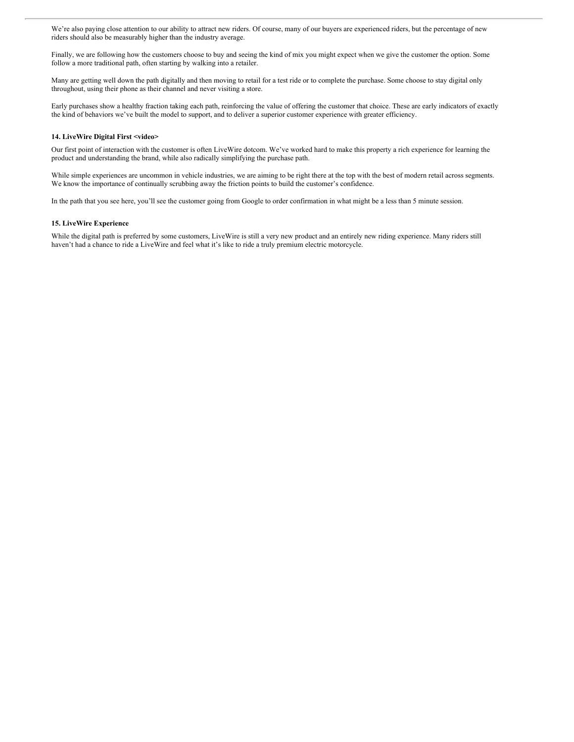We're also paying close attention to our ability to attract new riders. Of course, many of our buyers are experienced riders, but the percentage of new riders should also be measurably higher than the industry average.

Finally, we are following how the customers choose to buy and seeing the kind of mix you might expect when we give the customer the option. Some follow a more traditional path, often starting by walking into a retailer.

Many are getting well down the path digitally and then moving to retail for a test ride or to complete the purchase. Some choose to stay digital only throughout, using their phone as their channel and never visiting a store.

Early purchases show a healthy fraction taking each path, reinforcing the value of offering the customer that choice. These are early indicators of exactly the kind of behaviors we've built the model to support, and to deliver a superior customer experience with greater efficiency.

## **14. LiveWire Digital First <video>**

Our first point of interaction with the customer is often LiveWire dotcom. We've worked hard to make this property a rich experience for learning the product and understanding the brand, while also radically simplifying the purchase path.

While simple experiences are uncommon in vehicle industries, we are aiming to be right there at the top with the best of modern retail across segments. We know the importance of continually scrubbing away the friction points to build the customer's confidence.

In the path that you see here, you'll see the customer going from Google to order confirmation in what might be a less than 5 minute session.

## **15. LiveWire Experience**

While the digital path is preferred by some customers, LiveWire is still a very new product and an entirely new riding experience. Many riders still haven't had a chance to ride a LiveWire and feel what it's like to ride a truly premium electric motorcycle.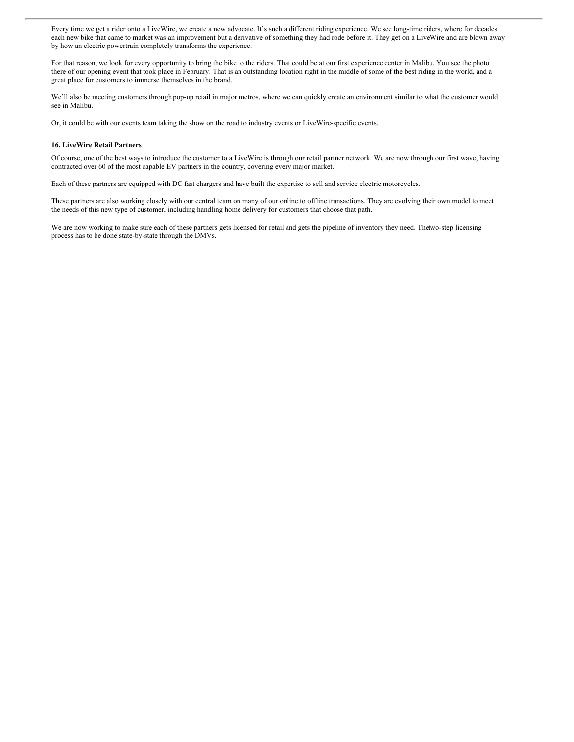Every time we get a rider onto a LiveWire, we create a new advocate. It's such a different riding experience. We see long-time riders, where for decades each new bike that came to market was an improvement but a derivative of something they had rode before it. They get on a LiveWire and are blown away by how an electric powertrain completely transforms the experience.

For that reason, we look for every opportunity to bring the bike to the riders. That could be at our first experience center in Malibu. You see the photo there of our opening event that took place in February. That is an outstanding location right in the middle of some of the best riding in the world, and a great place for customers to immerse themselves in the brand.

We'll also be meeting customers through pop-up retail in major metros, where we can quickly create an environment similar to what the customer would see in Malibu.

Or, it could be with our events team taking the show on the road to industry events or LiveWire-specific events.

## **16. LiveWire Retail Partners**

Of course, one of the best ways to introduce the customer to a LiveWire is through our retail partner network. We are now through our first wave, having contracted over 60 of the most capable EV partners in the country, covering every major market.

Each of these partners are equipped with DC fast chargers and have built the expertise to sell and service electric motorcycles.

These partners are also working closely with our central team on many of our online to offline transactions. They are evolving their own model to meet the needs of this new type of customer, including handling home delivery for customers that choose that path.

We are now working to make sure each of these partners gets licensed for retail and gets the pipeline of inventory they need. Thetwo-step licensing process has to be done state-by-state through the DMVs.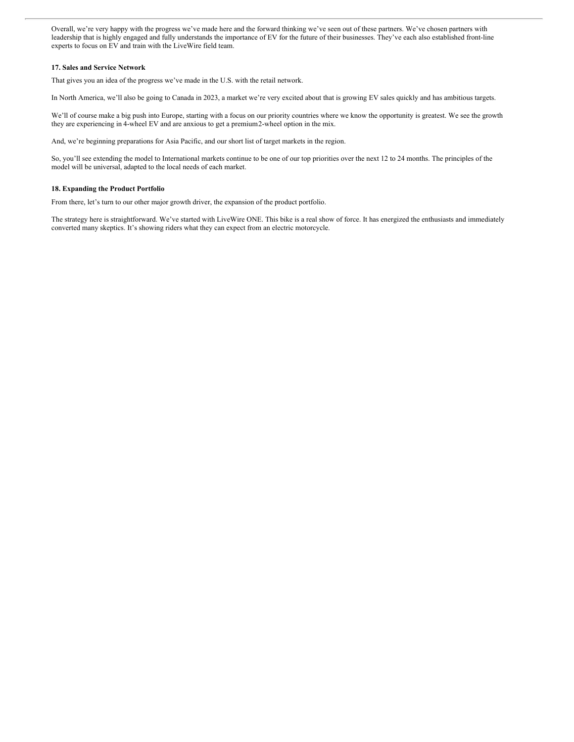Overall, we're very happy with the progress we've made here and the forward thinking we've seen out of these partners. We've chosen partners with leadership that is highly engaged and fully understands the importance of EV for the future of their businesses. They've each also established front-line experts to focus on EV and train with the LiveWire field team.

## **17. Sales and Service Network**

That gives you an idea of the progress we've made in the U.S. with the retail network.

In North America, we'll also be going to Canada in 2023, a market we're very excited about that is growing EV sales quickly and has ambitious targets.

We'll of course make a big push into Europe, starting with a focus on our priority countries where we know the opportunity is greatest. We see the growth they are experiencing in 4-wheel EV and are anxious to get a premium2-wheel option in the mix.

And, we're beginning preparations for Asia Pacific, and our short list of target markets in the region.

So, you'll see extending the model to International markets continue to be one of our top priorities over the next 12 to 24 months. The principles of the model will be universal, adapted to the local needs of each market.

## **18. Expanding the Product Portfolio**

From there, let's turn to our other major growth driver, the expansion of the product portfolio.

The strategy here is straightforward. We've started with LiveWire ONE. This bike is a real show of force. It has energized the enthusiasts and immediately converted many skeptics. It's showing riders what they can expect from an electric motorcycle.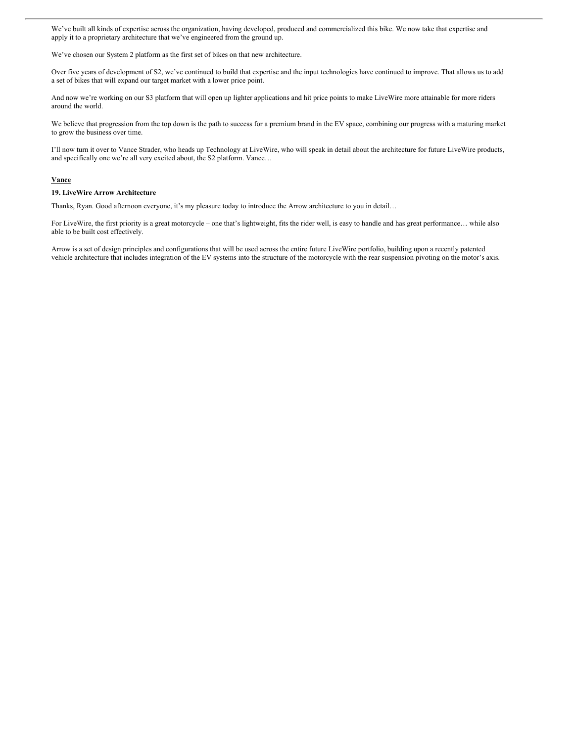We've built all kinds of expertise across the organization, having developed, produced and commercialized this bike. We now take that expertise and apply it to a proprietary architecture that we've engineered from the ground up.

We've chosen our System 2 platform as the first set of bikes on that new architecture.

Over five years of development of S2, we've continued to build that expertise and the input technologies have continued to improve. That allows us to add a set of bikes that will expand our target market with a lower price point.

And now we're working on our S3 platform that will open up lighter applications and hit price points to make LiveWire more attainable for more riders around the world.

We believe that progression from the top down is the path to success for a premium brand in the EV space, combining our progress with a maturing market to grow the business over time.

I'll now turn it over to Vance Strader, who heads up Technology at LiveWire, who will speak in detail about the architecture for future LiveWire products, and specifically one we're all very excited about, the S2 platform. Vance…

#### **Vance**

#### **19. LiveWire Arrow Architecture**

Thanks, Ryan. Good afternoon everyone, it's my pleasure today to introduce the Arrow architecture to you in detail…

For LiveWire, the first priority is a great motorcycle – one that's lightweight, fits the rider well, is easy to handle and has great performance... while also able to be built cost effectively.

Arrow is a set of design principles and configurations that will be used across the entire future LiveWire portfolio, building upon a recently patented vehicle architecture that includes integration of the EV systems into the structure of the motorcycle with the rear suspension pivoting on the motor's axis.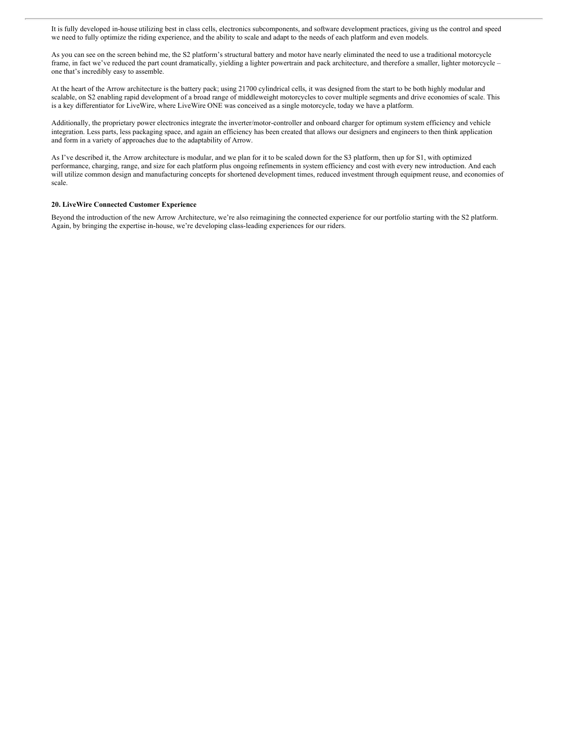It is fully developed in-house utilizing best in class cells, electronics subcomponents, and software development practices, giving us the control and speed we need to fully optimize the riding experience, and the ability to scale and adapt to the needs of each platform and even models.

As you can see on the screen behind me, the S2 platform's structural battery and motor have nearly eliminated the need to use a traditional motorcycle frame, in fact we've reduced the part count dramatically, yielding a lighter powertrain and pack architecture, and therefore a smaller, lighter motorcycle – one that's incredibly easy to assemble.

At the heart of the Arrow architecture is the battery pack; using 21700 cylindrical cells, it was designed from the start to be both highly modular and scalable, on S2 enabling rapid development of a broad range of middleweight motorcycles to cover multiple segments and drive economies of scale. This is a key differentiator for LiveWire, where LiveWire ONE was conceived as a single motorcycle, today we have a platform.

Additionally, the proprietary power electronics integrate the inverter/motor-controller and onboard charger for optimum system efficiency and vehicle integration. Less parts, less packaging space, and again an efficiency has been created that allows our designers and engineers to then think application and form in a variety of approaches due to the adaptability of Arrow.

As I've described it, the Arrow architecture is modular, and we plan for it to be scaled down for the S3 platform, then up for S1, with optimized performance, charging, range, and size for each platform plus ongoing refinements in system efficiency and cost with every new introduction. And each will utilize common design and manufacturing concepts for shortened development times, reduced investment through equipment reuse, and economies of scale.

## **20. LiveWire Connected Customer Experience**

Beyond the introduction of the new Arrow Architecture, we're also reimagining the connected experience for our portfolio starting with the S2 platform. Again, by bringing the expertise in-house, we're developing class-leading experiences for our riders.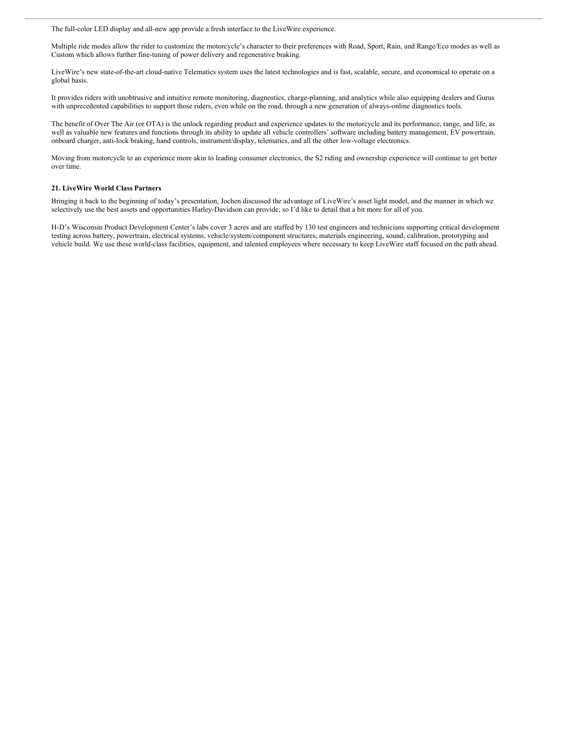The full-color LED display and all-new app provide a fresh interface to the LiveWire experience.

Multiple ride modes allow the rider to customize the motorcycle's character to their preferences with Road, Sport, Rain, and Range/Eco modes as well as Custom which allows further fine-tuning of power delivery and regenerative braking.

LiveWire's new state-of-the-art cloud-native Telematics system uses the latest technologies and is fast, scalable, secure, and economical to operate on a global basis.

It provides riders with unobtrusive and intuitive remote monitoring, diagnostics, charge-planning, and analytics while also equipping dealers and Gurus with unprecedented capabilities to support those riders, even while on the road, through a new generation of always-online diagnostics tools.

The benefit of Over The Air (or OTA) is the unlock regarding product and experience updates to the motorcycle and its performance, range, and life, as well as valuable new features and functions through its ability to update all vehicle controllers' software including battery management, EV powertrain, onboard charger, anti-lock braking, hand controls, instrument/display, telematics, and all the other low-voltage electronics.

Moving from motorcycle to an experience more akin to leading consumer electronics, the S2 riding and ownership experience will continue to get better over time.

#### **21. LiveWire World Class Partners**

Bringing it back to the beginning of today's presentation, Jochen discussed the advantage of LiveWire's asset light model, and the manner in which we selectively use the best assets and opportunities Harley-Davidson can provide; so I'd like to detail that a bit more for all of you.

H-D's Wisconsin Product Development Center's labs cover 3 acres and are staffed by 130 test engineers and technicians supporting critical development testing across battery, powertrain, electrical systems, vehicle/system/component structures, materials engineering, sound, calibration, prototyping and vehicle build. We use these world-class facilities, equipment, and talented employees where necessary to keep LiveWire staff focused on the path ahead.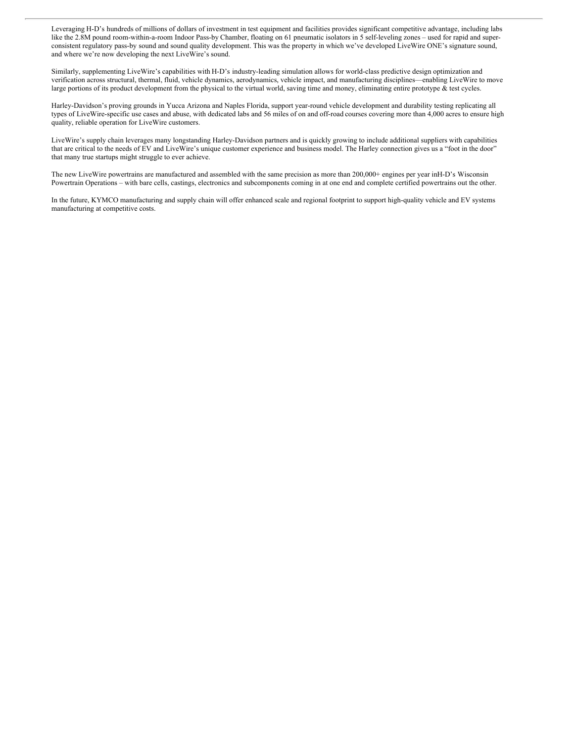Leveraging H-D's hundreds of millions of dollars of investment in test equipment and facilities provides significant competitive advantage, including labs like the 2.8M pound room-within-a-room Indoor Pass-by Chamber, floating on 61 pneumatic isolators in 5 self-leveling zones – used for rapid and superconsistent regulatory pass-by sound and sound quality development. This was the property in which we've developed LiveWire ONE's signature sound, and where we're now developing the next LiveWire's sound.

Similarly, supplementing LiveWire's capabilities with H-D's industry-leading simulation allows for world-class predictive design optimization and verification across structural, thermal, fluid, vehicle dynamics, aerodynamics, vehicle impact, and manufacturing disciplines—enabling LiveWire to move large portions of its product development from the physical to the virtual world, saving time and money, eliminating entire prototype & test cycles.

Harley-Davidson's proving grounds in Yucca Arizona and Naples Florida, support year-round vehicle development and durability testing replicating all types of LiveWire-specific use cases and abuse, with dedicated labs and 56 miles of on and off-road courses covering more than 4,000 acres to ensure high quality, reliable operation for LiveWire customers.

LiveWire's supply chain leverages many longstanding Harley-Davidson partners and is quickly growing to include additional suppliers with capabilities that are critical to the needs of EV and LiveWire's unique customer experience and business model. The Harley connection gives us a "foot in the door" that many true startups might struggle to ever achieve.

The new LiveWire powertrains are manufactured and assembled with the same precision as more than 200,000+ engines per year inH-D's Wisconsin Powertrain Operations – with bare cells, castings, electronics and subcomponents coming in at one end and complete certified powertrains out the other.

In the future, KYMCO manufacturing and supply chain will offer enhanced scale and regional footprint to support high-quality vehicle and EV systems manufacturing at competitive costs.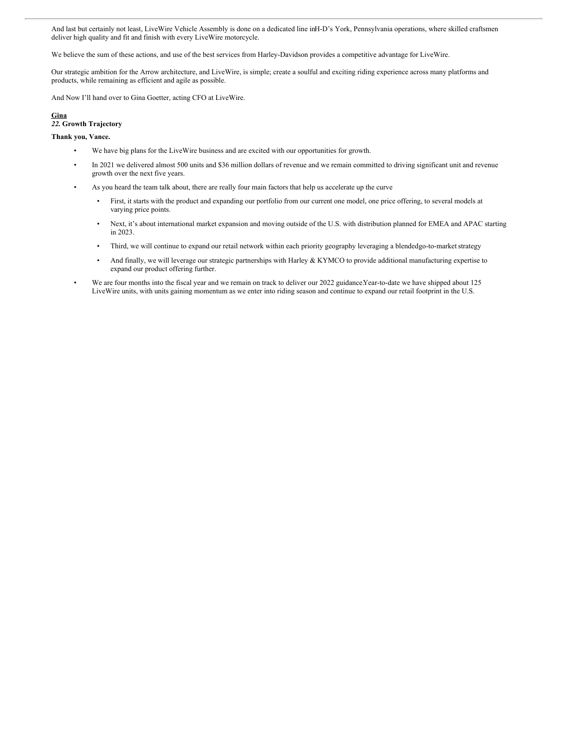And last but certainly not least, LiveWire Vehicle Assembly is done on a dedicated line inH-D's York, Pennsylvania operations, where skilled craftsmen deliver high quality and fit and finish with every LiveWire motorcycle.

We believe the sum of these actions, and use of the best services from Harley-Davidson provides a competitive advantage for LiveWire.

Our strategic ambition for the Arrow architecture, and LiveWire, is simple; create a soulful and exciting riding experience across many platforms and products, while remaining as efficient and agile as possible.

And Now I'll hand over to Gina Goetter, acting CFO at LiveWire.

# **Gina**

# *22.* **Growth Trajectory**

# **Thank you, Vance.**

- We have big plans for the LiveWire business and are excited with our opportunities for growth.
- In 2021 we delivered almost 500 units and \$36 million dollars of revenue and we remain committed to driving significant unit and revenue growth over the next five years.
- As you heard the team talk about, there are really four main factors that help us accelerate up the curve
	- First, it starts with the product and expanding our portfolio from our current one model, one price offering, to several models at varying price points.
	- Next, it's about international market expansion and moving outside of the U.S. with distribution planned for EMEA and APAC starting in 2023.
	- Third, we will continue to expand our retail network within each priority geography leveraging a blendedgo-to-market strategy
	- And finally, we will leverage our strategic partnerships with Harley & KYMCO to provide additional manufacturing expertise to expand our product offering further.
- We are four months into the fiscal year and we remain on track to deliver our 2022 guidance.Year-to-date we have shipped about 125 LiveWire units, with units gaining momentum as we enter into riding season and continue to expand our retail footprint in the U.S.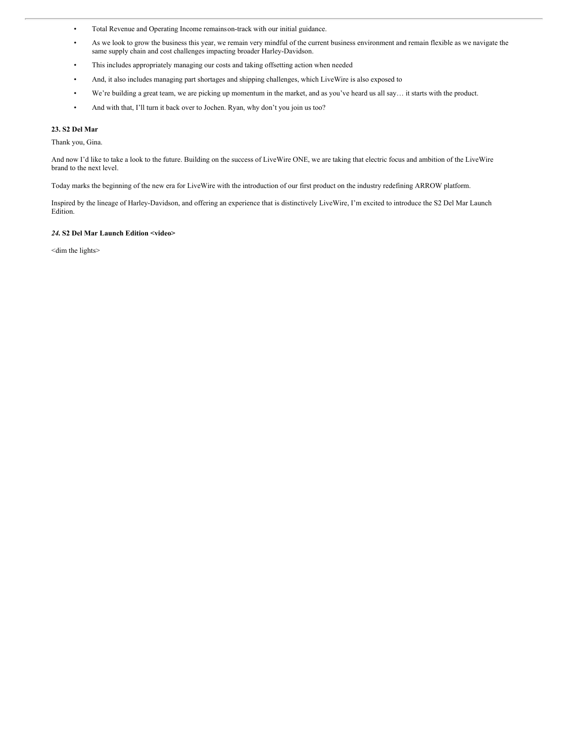- Total Revenue and Operating Income remainson-track with our initial guidance.
- As we look to grow the business this year, we remain very mindful of the current business environment and remain flexible as we navigate the same supply chain and cost challenges impacting broader Harley-Davidson.
- This includes appropriately managing our costs and taking offsetting action when needed
- And, it also includes managing part shortages and shipping challenges, which LiveWire is also exposed to
- We're building a great team, we are picking up momentum in the market, and as you've heard us all say… it starts with the product.
- And with that, I'll turn it back over to Jochen. Ryan, why don't you join us too?

# **23. S2 Del Mar**

Thank you, Gina.

And now I'd like to take a look to the future. Building on the success of LiveWire ONE, we are taking that electric focus and ambition of the LiveWire brand to the next level.

Today marks the beginning of the new era for LiveWire with the introduction of our first product on the industry redefining ARROW platform.

Inspired by the lineage of Harley-Davidson, and offering an experience that is distinctively LiveWire, I'm excited to introduce the S2 Del Mar Launch Edition.

#### *24.* **S2 Del Mar Launch Edition <video>**

<dim the lights>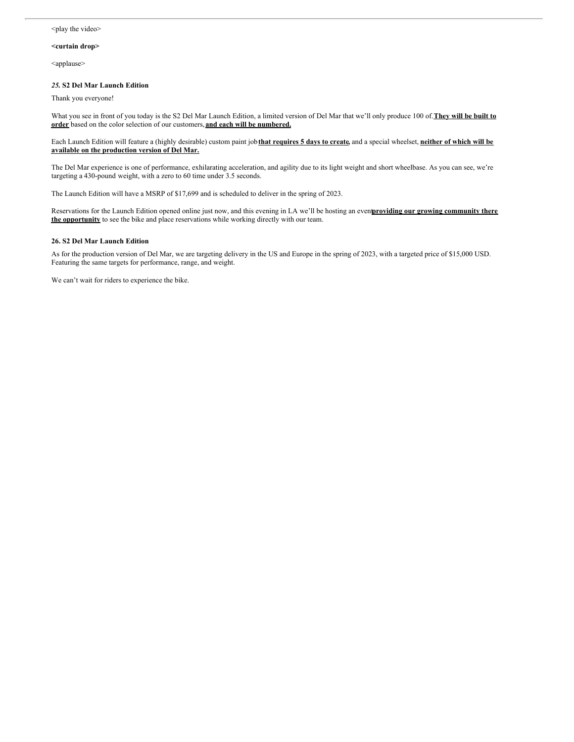#### <play the video>

# **<curtain drop>**

<applause>

#### *25.* **S2 Del Mar Launch Edition**

Thank you everyone!

What you see in front of you today is the S2 Del Mar Launch Edition, a limited version of Del Mar that we'll only produce 100 of.**They will be built to order** based on the color selection of our customers, **and each will be numbered.**

Each Launch Edition will feature a (highly desirable) custom paint job that requires 5 days to create, and a special wheelset, neither of which will be **available on the production version of Del Mar.**

The Del Mar experience is one of performance, exhilarating acceleration, and agility due to its light weight and short wheelbase. As you can see, we're targeting a 430-pound weight, with a zero to 60 time under 3.5 seconds.

The Launch Edition will have a MSRP of \$17,699 and is scheduled to deliver in the spring of 2023.

Reservations for the Launch Edition opened online just now, and this evening in LA we'll be hosting an event**providing our growing community there the opportunity** to see the bike and place reservations while working directly with our team.

## **26. S2 Del Mar Launch Edition**

As for the production version of Del Mar, we are targeting delivery in the US and Europe in the spring of 2023, with a targeted price of \$15,000 USD. Featuring the same targets for performance, range, and weight.

We can't wait for riders to experience the bike.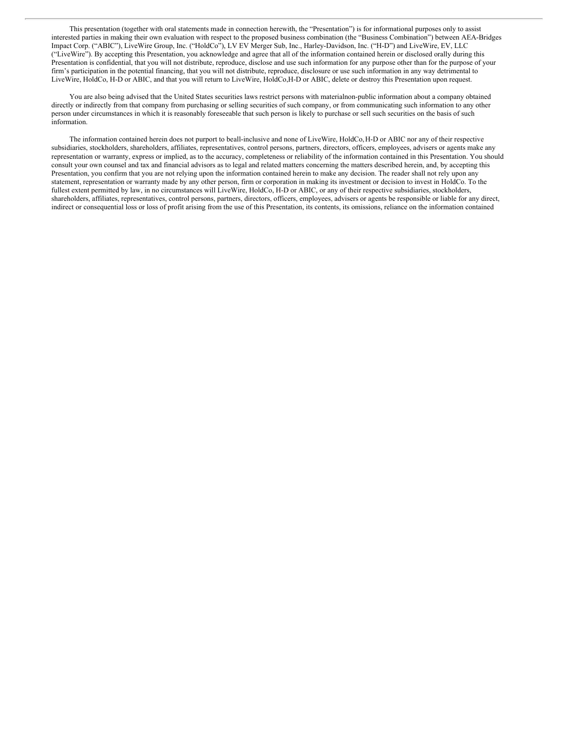This presentation (together with oral statements made in connection herewith, the "Presentation") is for informational purposes only to assist interested parties in making their own evaluation with respect to the proposed business combination (the "Business Combination") between AEA-Bridges Impact Corp. ("ABIC"), LiveWire Group, Inc. ("HoldCo"), LV EV Merger Sub, Inc., Harley-Davidson, Inc. ("H-D") and LiveWire, EV, LLC ("LiveWire"). By accepting this Presentation, you acknowledge and agree that all of the information contained herein or disclosed orally during this Presentation is confidential, that you will not distribute, reproduce, disclose and use such information for any purpose other than for the purpose of your firm's participation in the potential financing, that you will not distribute, reproduce, disclosure or use such information in any way detrimental to LiveWire, HoldCo, H-D or ABIC, and that you will return to LiveWire, HoldCo,H-D or ABIC, delete or destroy this Presentation upon request.

You are also being advised that the United States securities laws restrict persons with materialnon-public information about a company obtained directly or indirectly from that company from purchasing or selling securities of such company, or from communicating such information to any other person under circumstances in which it is reasonably foreseeable that such person is likely to purchase or sell such securities on the basis of such information.

The information contained herein does not purport to beall-inclusive and none of LiveWire, HoldCo,H-D or ABIC nor any of their respective subsidiaries, stockholders, shareholders, affiliates, representatives, control persons, partners, directors, officers, employees, advisers or agents make any representation or warranty, express or implied, as to the accuracy, completeness or reliability of the information contained in this Presentation. You should consult your own counsel and tax and financial advisors as to legal and related matters concerning the matters described herein, and, by accepting this Presentation, you confirm that you are not relying upon the information contained herein to make any decision. The reader shall not rely upon any statement, representation or warranty made by any other person, firm or corporation in making its investment or decision to invest in HoldCo. To the fullest extent permitted by law, in no circumstances will LiveWire, HoldCo, H-D or ABIC, or any of their respective subsidiaries, stockholders, shareholders, affiliates, representatives, control persons, partners, directors, officers, employees, advisers or agents be responsible or liable for any direct, indirect or consequential loss or loss of profit arising from the use of this Presentation, its contents, its omissions, reliance on the information contained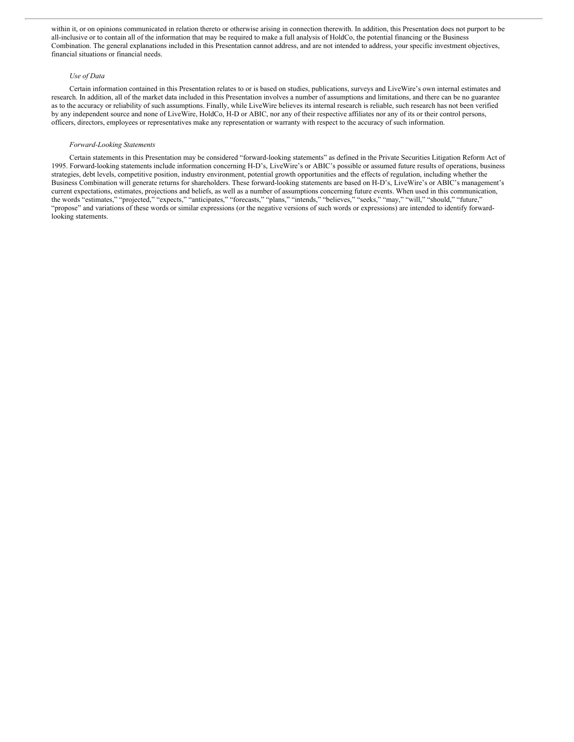within it, or on opinions communicated in relation thereto or otherwise arising in connection therewith. In addition, this Presentation does not purport to be all-inclusive or to contain all of the information that may be required to make a full analysis of HoldCo, the potential financing or the Business Combination. The general explanations included in this Presentation cannot address, and are not intended to address, your specific investment objectives, financial situations or financial needs.

## *Use of Data*

Certain information contained in this Presentation relates to or is based on studies, publications, surveys and LiveWire's own internal estimates and research. In addition, all of the market data included in this Presentation involves a number of assumptions and limitations, and there can be no guarantee as to the accuracy or reliability of such assumptions. Finally, while LiveWire believes its internal research is reliable, such research has not been verified by any independent source and none of LiveWire, HoldCo, H-D or ABIC, nor any of their respective affiliates nor any of its or their control persons, officers, directors, employees or representatives make any representation or warranty with respect to the accuracy of such information.

#### *Forward-Looking Statements*

Certain statements in this Presentation may be considered "forward-looking statements" as defined in the Private Securities Litigation Reform Act of 1995. Forward-looking statements include information concerning H-D's, LiveWire's or ABIC's possible or assumed future results of operations, business strategies, debt levels, competitive position, industry environment, potential growth opportunities and the effects of regulation, including whether the Business Combination will generate returns for shareholders. These forward-looking statements are based on H-D's, LiveWire's or ABIC's management's current expectations, estimates, projections and beliefs, as well as a number of assumptions concerning future events. When used in this communication, the words "estimates," "projected," "expects," "anticipates," "forecasts," "plans," "intends," "believes," "seeks," "may," "will," "should," "future," "propose" and variations of these words or similar expressions (or the negative versions of such words or expressions) are intended to identify forwardlooking statements.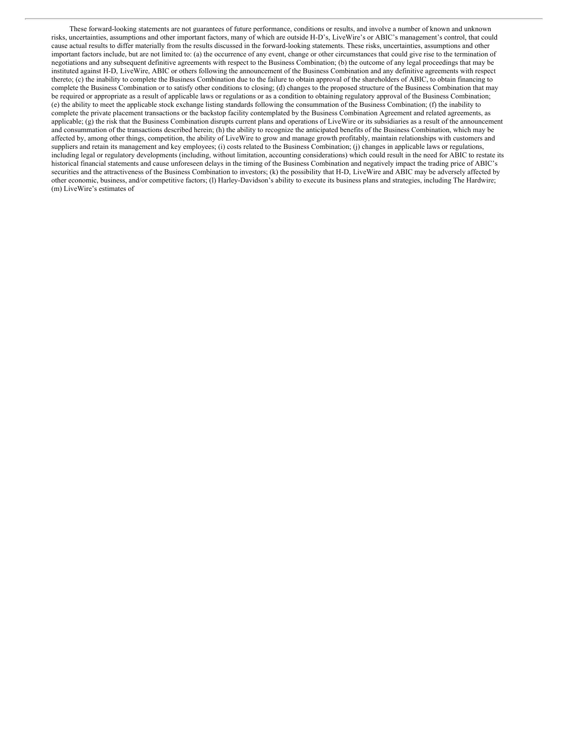These forward-looking statements are not guarantees of future performance, conditions or results, and involve a number of known and unknown risks, uncertainties, assumptions and other important factors, many of which are outside H-D's, LiveWire's or ABIC's management's control, that could cause actual results to differ materially from the results discussed in the forward-looking statements. These risks, uncertainties, assumptions and other important factors include, but are not limited to: (a) the occurrence of any event, change or other circumstances that could give rise to the termination of negotiations and any subsequent definitive agreements with respect to the Business Combination; (b) the outcome of any legal proceedings that may be instituted against H-D, LiveWire, ABIC or others following the announcement of the Business Combination and any definitive agreements with respect thereto; (c) the inability to complete the Business Combination due to the failure to obtain approval of the shareholders of ABIC, to obtain financing to complete the Business Combination or to satisfy other conditions to closing; (d) changes to the proposed structure of the Business Combination that may be required or appropriate as a result of applicable laws or regulations or as a condition to obtaining regulatory approval of the Business Combination; (e) the ability to meet the applicable stock exchange listing standards following the consummation of the Business Combination; (f) the inability to complete the private placement transactions or the backstop facility contemplated by the Business Combination Agreement and related agreements, as applicable; (g) the risk that the Business Combination disrupts current plans and operations of LiveWire or its subsidiaries as a result of the announcement and consummation of the transactions described herein; (h) the ability to recognize the anticipated benefits of the Business Combination, which may be affected by, among other things, competition, the ability of LiveWire to grow and manage growth profitably, maintain relationships with customers and suppliers and retain its management and key employees; (i) costs related to the Business Combination; (j) changes in applicable laws or regulations, including legal or regulatory developments (including, without limitation, accounting considerations) which could result in the need for ABIC to restate its historical financial statements and cause unforeseen delays in the timing of the Business Combination and negatively impact the trading price of ABIC's securities and the attractiveness of the Business Combination to investors; (k) the possibility that H-D, LiveWire and ABIC may be adversely affected by other economic, business, and/or competitive factors; (l) Harley-Davidson's ability to execute its business plans and strategies, including The Hardwire; (m) LiveWire's estimates of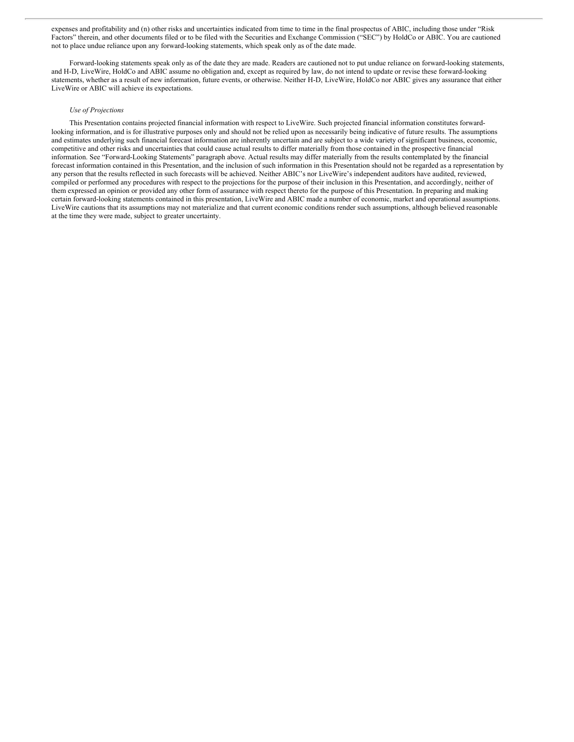expenses and profitability and (n) other risks and uncertainties indicated from time to time in the final prospectus of ABIC, including those under "Risk Factors" therein, and other documents filed or to be filed with the Securities and Exchange Commission ("SEC") by HoldCo or ABIC. You are cautioned not to place undue reliance upon any forward-looking statements, which speak only as of the date made.

Forward-looking statements speak only as of the date they are made. Readers are cautioned not to put undue reliance on forward-looking statements, and H-D, LiveWire, HoldCo and ABIC assume no obligation and, except as required by law, do not intend to update or revise these forward-looking statements, whether as a result of new information, future events, or otherwise. Neither H-D, LiveWire, HoldCo nor ABIC gives any assurance that either LiveWire or ABIC will achieve its expectations.

#### *Use of Projections*

This Presentation contains projected financial information with respect to LiveWire. Such projected financial information constitutes forwardlooking information, and is for illustrative purposes only and should not be relied upon as necessarily being indicative of future results. The assumptions and estimates underlying such financial forecast information are inherently uncertain and are subject to a wide variety of significant business, economic, competitive and other risks and uncertainties that could cause actual results to differ materially from those contained in the prospective financial information. See "Forward-Looking Statements" paragraph above. Actual results may differ materially from the results contemplated by the financial forecast information contained in this Presentation, and the inclusion of such information in this Presentation should not be regarded as a representation by any person that the results reflected in such forecasts will be achieved. Neither ABIC's nor LiveWire's independent auditors have audited, reviewed, compiled or performed any procedures with respect to the projections for the purpose of their inclusion in this Presentation, and accordingly, neither of them expressed an opinion or provided any other form of assurance with respect thereto for the purpose of this Presentation. In preparing and making certain forward-looking statements contained in this presentation, LiveWire and ABIC made a number of economic, market and operational assumptions. LiveWire cautions that its assumptions may not materialize and that current economic conditions render such assumptions, although believed reasonable at the time they were made, subject to greater uncertainty.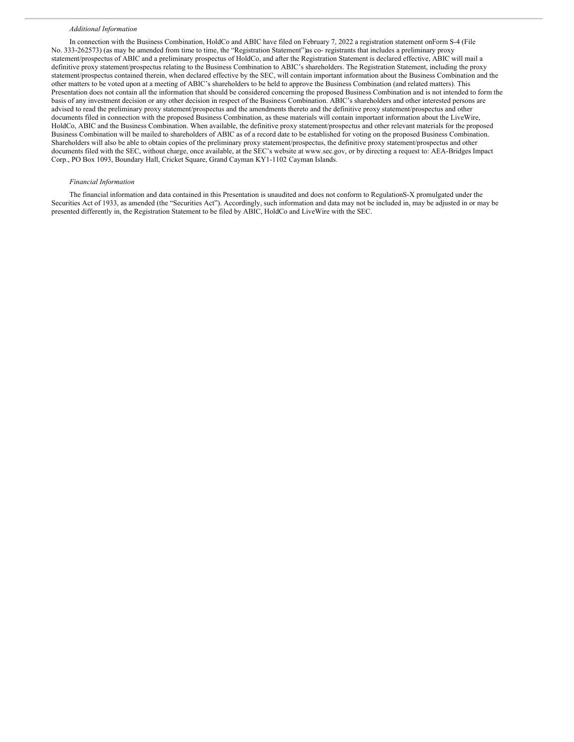#### *Additional Information*

In connection with the Business Combination, HoldCo and ABIC have filed on February 7, 2022 a registration statement onForm S-4 (File No. 333-262573) (as may be amended from time to time, the "Registration Statement")as co- registrants that includes a preliminary proxy statement/prospectus of ABIC and a preliminary prospectus of HoldCo, and after the Registration Statement is declared effective, ABIC will mail a definitive proxy statement/prospectus relating to the Business Combination to ABIC's shareholders. The Registration Statement, including the proxy statement/prospectus contained therein, when declared effective by the SEC, will contain important information about the Business Combination and the other matters to be voted upon at a meeting of ABIC's shareholders to be held to approve the Business Combination (and related matters). This Presentation does not contain all the information that should be considered concerning the proposed Business Combination and is not intended to form the basis of any investment decision or any other decision in respect of the Business Combination. ABIC's shareholders and other interested persons are advised to read the preliminary proxy statement/prospectus and the amendments thereto and the definitive proxy statement/prospectus and other documents filed in connection with the proposed Business Combination, as these materials will contain important information about the LiveWire, HoldCo, ABIC and the Business Combination. When available, the definitive proxy statement/prospectus and other relevant materials for the proposed Business Combination will be mailed to shareholders of ABIC as of a record date to be established for voting on the proposed Business Combination. Shareholders will also be able to obtain copies of the preliminary proxy statement/prospectus, the definitive proxy statement/prospectus and other documents filed with the SEC, without charge, once available, at the SEC's website at www.sec.gov, or by directing a request to: AEA-Bridges Impact Corp., PO Box 1093, Boundary Hall, Cricket Square, Grand Cayman KY1-1102 Cayman Islands.

#### *Financial Information*

The financial information and data contained in this Presentation is unaudited and does not conform to RegulationS-X promulgated under the Securities Act of 1933, as amended (the "Securities Act"). Accordingly, such information and data may not be included in, may be adjusted in or may be presented differently in, the Registration Statement to be filed by ABIC, HoldCo and LiveWire with the SEC.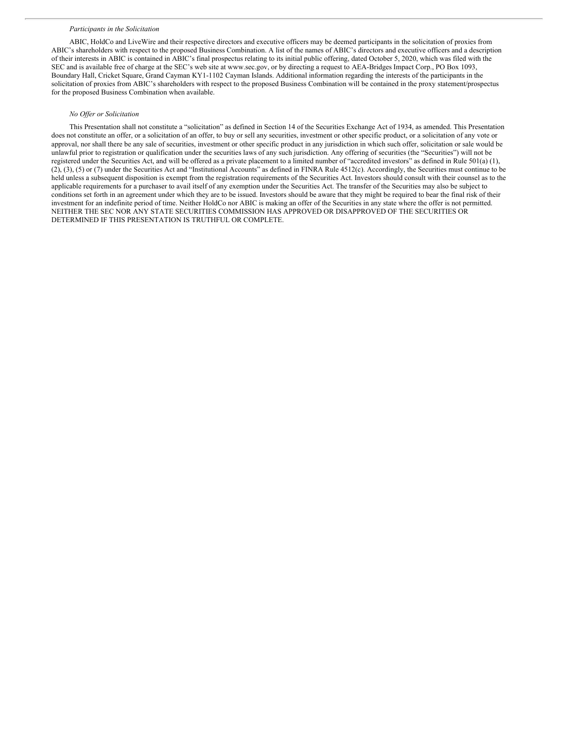#### *Participants in the Solicitation*

ABIC, HoldCo and LiveWire and their respective directors and executive officers may be deemed participants in the solicitation of proxies from ABIC's shareholders with respect to the proposed Business Combination. A list of the names of ABIC's directors and executive officers and a description of their interests in ABIC is contained in ABIC's final prospectus relating to its initial public offering, dated October 5, 2020, which was filed with the SEC and is available free of charge at the SEC's web site at www.sec.gov, or by directing a request to AEA-Bridges Impact Corp., PO Box 1093, Boundary Hall, Cricket Square, Grand Cayman KY1-1102 Cayman Islands. Additional information regarding the interests of the participants in the solicitation of proxies from ABIC's shareholders with respect to the proposed Business Combination will be contained in the proxy statement/prospectus for the proposed Business Combination when available.

### *No Of er or Solicitation*

This Presentation shall not constitute a "solicitation" as defined in Section 14 of the Securities Exchange Act of 1934, as amended. This Presentation does not constitute an offer, or a solicitation of an offer, to buy or sell any securities, investment or other specific product, or a solicitation of any vote or approval, nor shall there be any sale of securities, investment or other specific product in any jurisdiction in which such offer, solicitation or sale would be unlawful prior to registration or qualification under the securities laws of any such jurisdiction. Any offering of securities (the "Securities") will not be registered under the Securities Act, and will be offered as a private placement to a limited number of "accredited investors" as defined in Rule 501(a) (1), (2), (3), (5) or (7) under the Securities Act and "Institutional Accounts" as defined in FINRA Rule 4512(c). Accordingly, the Securities must continue to be held unless a subsequent disposition is exempt from the registration requirements of the Securities Act. Investors should consult with their counsel as to the applicable requirements for a purchaser to avail itself of any exemption under the Securities Act. The transfer of the Securities may also be subject to conditions set forth in an agreement under which they are to be issued. Investors should be aware that they might be required to bear the final risk of their investment for an indefinite period of time. Neither HoldCo nor ABIC is making an offer of the Securities in any state where the offer is not permitted. NEITHER THE SEC NOR ANY STATE SECURITIES COMMISSION HAS APPROVED OR DISAPPROVED OF THE SECURITIES OR DETERMINED IF THIS PRESENTATION IS TRUTHFUL OR COMPLETE.